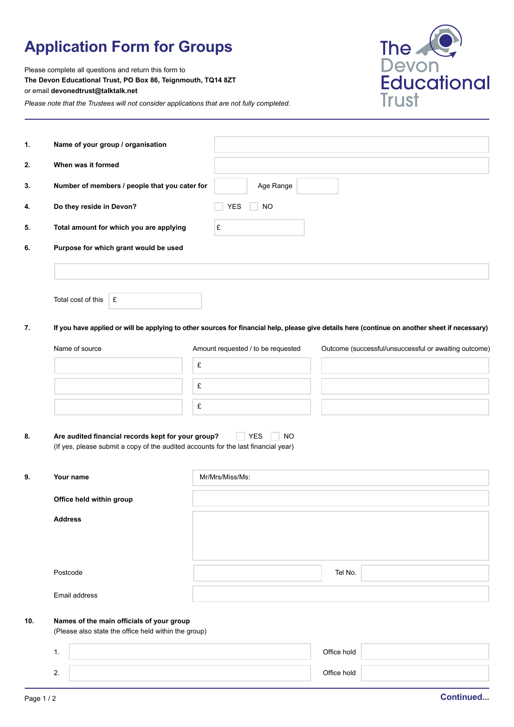## **Application Form for Groups**

Please complete all questions and return this form to **The Devon Educational Trust, PO Box 86, Teignmouth, TQ14 8ZT** or email **devonedtrust@talktalk.net**

*Please note that the Trustees will not consider applications that are not fully completed.*



| 1.  | Name of your group / organisation                                                                                                              |                                    |                                                       |  |  |
|-----|------------------------------------------------------------------------------------------------------------------------------------------------|------------------------------------|-------------------------------------------------------|--|--|
| 2.  | When was it formed                                                                                                                             |                                    |                                                       |  |  |
| 3.  | Number of members / people that you cater for                                                                                                  | Age Range                          |                                                       |  |  |
| 4.  | Do they reside in Devon?                                                                                                                       | <b>YES</b><br><b>NO</b>            |                                                       |  |  |
| 5.  | Total amount for which you are applying                                                                                                        | £                                  |                                                       |  |  |
| 6.  | Purpose for which grant would be used                                                                                                          |                                    |                                                       |  |  |
|     |                                                                                                                                                |                                    |                                                       |  |  |
|     | Total cost of this<br>£                                                                                                                        |                                    |                                                       |  |  |
| 7.  | If you have applied or will be applying to other sources for financial help, please give details here (continue on another sheet if necessary) |                                    |                                                       |  |  |
|     | Name of source                                                                                                                                 | Amount requested / to be requested | Outcome (successful/unsuccessful or awaiting outcome) |  |  |
|     | £                                                                                                                                              |                                    |                                                       |  |  |
|     | £                                                                                                                                              |                                    |                                                       |  |  |
|     | £                                                                                                                                              |                                    |                                                       |  |  |
| 8.  | Are audited financial records kept for your group?<br>(If yes, please submit a copy of the audited accounts for the last financial year)       | <b>YES</b><br><b>NO</b>            |                                                       |  |  |
| 9.  | Your name                                                                                                                                      | Mr/Mrs/Miss/Ms:                    |                                                       |  |  |
|     | Office held within group                                                                                                                       |                                    |                                                       |  |  |
|     | <b>Address</b>                                                                                                                                 |                                    |                                                       |  |  |
|     | Postcode                                                                                                                                       |                                    | Tel No.                                               |  |  |
|     | Email address                                                                                                                                  |                                    |                                                       |  |  |
| 10. | Names of the main officials of your group<br>(Please also state the office held within the group)                                              |                                    |                                                       |  |  |
|     | 1.                                                                                                                                             |                                    | Office hold                                           |  |  |

2. Office hold